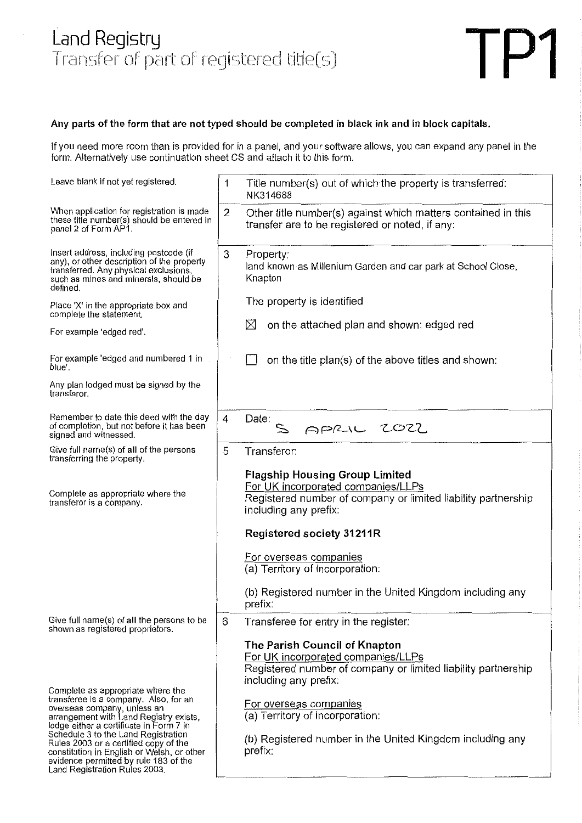# Land Registry ransfer of part of registered title(



## **Any parts of the form that are not typed should be completed in black ink and in block capitals.**

If you need more room than is provided for in a panel, and your software allows, you can expand any panel in the form. Alternatively use continuation sheet CS and attach it to this form.

| Leave blank if not yet registered.                                                                                                                                                                                                                                                                                           | 1              | Title number(s) out of which the property is transferred:<br>NK314688                                                                                                                                                                                                                              |
|------------------------------------------------------------------------------------------------------------------------------------------------------------------------------------------------------------------------------------------------------------------------------------------------------------------------------|----------------|----------------------------------------------------------------------------------------------------------------------------------------------------------------------------------------------------------------------------------------------------------------------------------------------------|
| When application for registration is made<br>these title number(s) should be entered in<br>panel 2 of Form AP1.                                                                                                                                                                                                              | $\overline{2}$ | Other title number(s) against which matters contained in this<br>transfer are to be registered or noted, if any:                                                                                                                                                                                   |
| Insert address, including postcode (if<br>any), or other description of the property<br>transferred. Any physical exclusions,<br>such as mines and minerals, should be<br>defined.                                                                                                                                           | 3              | Property:<br>land known as Millenium Garden and car park at School Close,<br>Knapton                                                                                                                                                                                                               |
| Place 'X' in the appropriate box and<br>complete the statement.                                                                                                                                                                                                                                                              |                | The property is identified                                                                                                                                                                                                                                                                         |
| For example 'edged red'.                                                                                                                                                                                                                                                                                                     |                | on the attached plan and shown: edged red<br>⊠                                                                                                                                                                                                                                                     |
| For example 'edged and numbered 1 in<br>blue'.                                                                                                                                                                                                                                                                               |                | on the title plan(s) of the above titles and shown:                                                                                                                                                                                                                                                |
| Any plan lodged must be signed by the<br>transferor.                                                                                                                                                                                                                                                                         |                |                                                                                                                                                                                                                                                                                                    |
| Remember to date this deed with the day<br>of completion, but not before it has been<br>signed and witnessed.                                                                                                                                                                                                                | 4              | Date:<br>APRIL 2022                                                                                                                                                                                                                                                                                |
| Give full name(s) of all of the persons<br>transferring the property.                                                                                                                                                                                                                                                        | 5              | Transferor:                                                                                                                                                                                                                                                                                        |
| Complete as appropriate where the<br>transferor is a company.                                                                                                                                                                                                                                                                |                | <b>Flagship Housing Group Limited</b><br>For UK incorporated companies/LLPs<br>Registered number of company or limited liability partnership<br>including any prefix:<br><b>Registered society 31211R</b>                                                                                          |
|                                                                                                                                                                                                                                                                                                                              |                | For overseas companies                                                                                                                                                                                                                                                                             |
|                                                                                                                                                                                                                                                                                                                              |                | (a) Territory of incorporation:                                                                                                                                                                                                                                                                    |
|                                                                                                                                                                                                                                                                                                                              |                | (b) Registered number in the United Kingdom including any<br>prefix:                                                                                                                                                                                                                               |
| Give full name(s) of all the persons to be<br>shown as registered proprietors.                                                                                                                                                                                                                                               | 6              | Transferee for entry in the register:                                                                                                                                                                                                                                                              |
| Complete as appropriate where the<br>transferee is a company. Also, for an<br>overseas company, unless an<br>arrangement with Land Registry exists,<br>lodge either a certificate in Form 7 in<br>Schedule 3 to the Land Registration<br>Rules 2003 or a certified copy of the<br>constitution in English or Welsh, or other |                | The Parish Council of Knapton<br>For UK incorporated companies/LLPs<br>Registered number of company or limited liability partnership<br>including any prefix:<br>For overseas companies<br>(a) Territory of incorporation:<br>(b) Registered number in the United Kingdom including any<br>prefix: |
| evidence permitted by rule 183 of the<br>Land Registration Rules 2003.                                                                                                                                                                                                                                                       |                |                                                                                                                                                                                                                                                                                                    |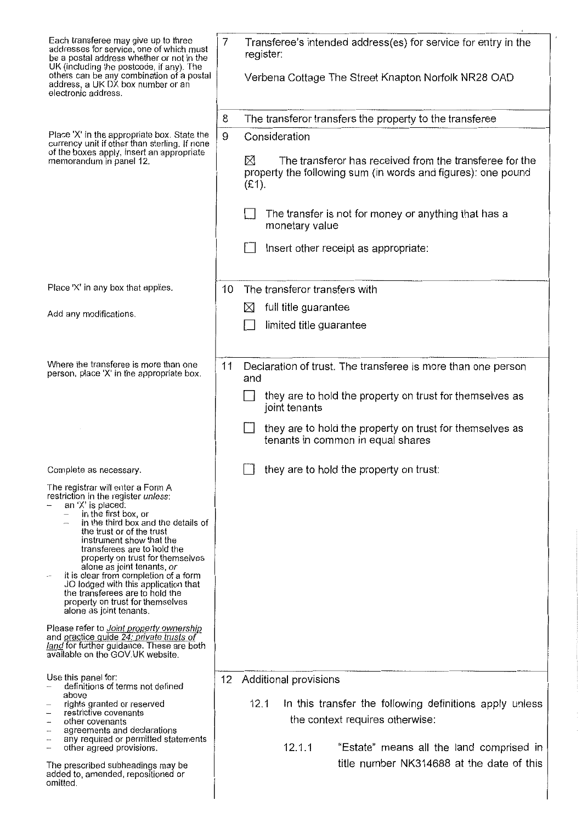| Each transferee may give up to three<br>addresses for service, one of which must<br>be a postal address whether or not in the<br>UK (including the postcode, if any). The<br>others can be any combination of a postal                                                                                                                                                                                                                                                                                    | 7<br>Transferee's intended address(es) for service for entry in the<br>register:                                                                                                                                                     |
|-----------------------------------------------------------------------------------------------------------------------------------------------------------------------------------------------------------------------------------------------------------------------------------------------------------------------------------------------------------------------------------------------------------------------------------------------------------------------------------------------------------|--------------------------------------------------------------------------------------------------------------------------------------------------------------------------------------------------------------------------------------|
| address, a UK DX box number or an<br>electronic address.                                                                                                                                                                                                                                                                                                                                                                                                                                                  | Verbena Cottage The Street Knapton Norfolk NR28 OAD                                                                                                                                                                                  |
|                                                                                                                                                                                                                                                                                                                                                                                                                                                                                                           | The transferor transfers the property to the transferee<br>8                                                                                                                                                                         |
| Place 'X' in the appropriate box. State the<br>currency unit if other than sterling. If none                                                                                                                                                                                                                                                                                                                                                                                                              | 9<br>Consideration                                                                                                                                                                                                                   |
| of the boxes apply, insert an appropriate<br>memorandum in panel 12.                                                                                                                                                                                                                                                                                                                                                                                                                                      | The transferor has received from the transferee for the<br>⊠<br>property the following sum (in words and figures): one pound<br>$(E1)$ .                                                                                             |
|                                                                                                                                                                                                                                                                                                                                                                                                                                                                                                           | The transfer is not for money or anything that has a<br>monetary value                                                                                                                                                               |
|                                                                                                                                                                                                                                                                                                                                                                                                                                                                                                           | Insert other receipt as appropriate:                                                                                                                                                                                                 |
| Place 'X' in any box that applies.                                                                                                                                                                                                                                                                                                                                                                                                                                                                        | The transferor transfers with<br>10                                                                                                                                                                                                  |
| Add any modifications.                                                                                                                                                                                                                                                                                                                                                                                                                                                                                    | full title guarantee<br>$\boxtimes$                                                                                                                                                                                                  |
|                                                                                                                                                                                                                                                                                                                                                                                                                                                                                                           | limited title guarantee                                                                                                                                                                                                              |
|                                                                                                                                                                                                                                                                                                                                                                                                                                                                                                           |                                                                                                                                                                                                                                      |
| Where the transferee is more than one<br>person, place 'X' in the appropriate box.                                                                                                                                                                                                                                                                                                                                                                                                                        | Declaration of trust. The transferee is more than one person<br>11<br>and                                                                                                                                                            |
|                                                                                                                                                                                                                                                                                                                                                                                                                                                                                                           | they are to hold the property on trust for themselves as<br>joint tenants                                                                                                                                                            |
|                                                                                                                                                                                                                                                                                                                                                                                                                                                                                                           | they are to hold the property on trust for themselves as<br>tenants in common in equal shares                                                                                                                                        |
| Complete as necessary.                                                                                                                                                                                                                                                                                                                                                                                                                                                                                    | they are to hold the property on trust:                                                                                                                                                                                              |
| The registrar will enter a Form A<br>restriction in the register unless:<br>an 'X' is placed:<br>in the first box, or<br>in the third box and the details of<br>the trust or of the trust<br>instrument show that the<br>transferees are to hold the<br>property on trust for themselves<br>alone as joint tenants, or<br>it is clear from completion of a form<br>JO lodged with this application that<br>the transferees are to hold the<br>property on trust for themselves<br>alone as joint tenants. |                                                                                                                                                                                                                                      |
| Please refer to Joint property ownership<br>and practice quide 24: private trusts of<br>land for further guidance. These are both<br>available on the GOV.UK website.                                                                                                                                                                                                                                                                                                                                     |                                                                                                                                                                                                                                      |
| Use this panel for:<br>definitions of terms not defined<br>above<br>rights granted or reserved<br>restrictive covenants<br>other covenants<br>$\sim$<br>agreements and declarations<br><br>any required or permitted statements<br><br>other agreed provisions.<br>---<br>The prescribed subheadings may be<br>added to, amended, repositioned or<br>omitted.                                                                                                                                             | 12<br>Additional provisions<br>12.1<br>In this transfer the following definitions apply unless<br>the context requires otherwise:<br>12.1.1<br>"Estate" means all the land comprised in<br>title number NK314688 at the date of this |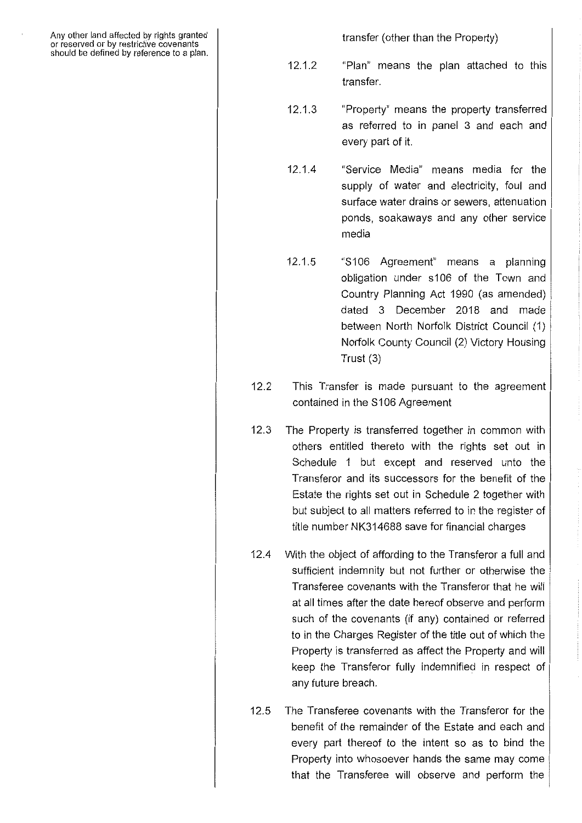Any other land affected by rights granted or reserved or by restrictive covenants should be defined by reference to a plan.

transfer (other than the Property)

- 12.1.2 "Plan" means the plan attached to this transfer.
- 12.1.3 "Property" means the property transferred as referred to in panel 3 and each and every part of it.
- 12.1.4 "Service Media" means media for the supply of water and electricity, foul and surface water drains or sewers, attenuation ponds, soakaways and any other service media
- 12.1.5 "S106 Agreement" means a planning obligation under s106 of the Town and Country Planning Act 1990 (as amended) dated 3 December 2018 and made between North Norfolk District Council (1) Norfolk County Council (2) Victory Housing Trust (3)
- 12.2 This Transfer is made pursuant to the agreement contained in the S106 Agreement
- 12.3 The Property is transferred together in common with others entitled thereto with the rights set out in Schedule 1 but except and reserved unto the Transferor and its successors for the benefit of the Estate the rights set out in Schedule 2 together with but subject to all matters referred to in the register of title number NK314688 save for financial charges
- 12.4 With the object of affording to the Transferor a full and sufficient indemnity but not further or otherwise the Transferee covenants with the Transferor that he will at all times after the date hereof observe and perform such of the covenants (if any) contained or referred to in the Charges Register of the title out of which the Property is transferred as affect the Property and will keep the Transferor fully indemnified in respect of any future breach.
- 12.5 The Transferee covenants with the Transferor for the benefit of the remainder of the Estate and each and every part thereof to the intent so as to bind the Property into whosoever hands the same may come that the Transferee will observe and perform the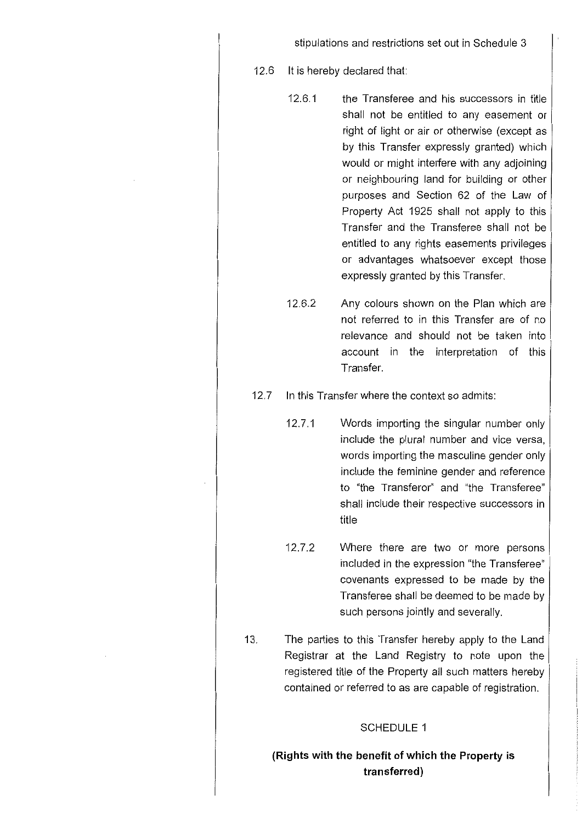stipulations and restrictions set out in Schedule 3

12.6 It is hereby declared that:

- 12.6.1 the Transferee and his successors in title shall not be entitled to any easement or right of light or air or otherwise (except as by this Transfer expressly granted) which would or might interfere with any adjoining or neighbouring land for building or other purposes and Section 62 of the Law of Property Act 1925 shall not apply to this Transfer and the Transferee shall not be entitled to any rights easements privileges or advantages whatsoever except those expressly granted by this Transfer.
- 12.6.2 Any colours shown on the Plan which are not referred to in this Transfer are of no relevance and should not be taken into account in the interpretation of this Transfer.

12.7 In this Transfer where the context so admits:

- 12.7.1 Words importing the singular number only include the plural number and vice versa, words importing the masculine gender only include the feminine gender and reference to "the Transferor" and "the Transferee" shall include their respective successors in title
- 12.7.2 Where there are two or more persons included in the expression "the Transferee" covenants expressed to be made by the Transferee shall be deemed to be made by such persons jointly and severally.
- 13. The parties to this Transfer hereby apply to the Land Registrar at the Land Registry to note upon the registered title of the Property all such matters hereby contained or referred to as are capable of registration.

#### SCHEDULE 1

**(Rights with the benefit of which the Property is transferred)**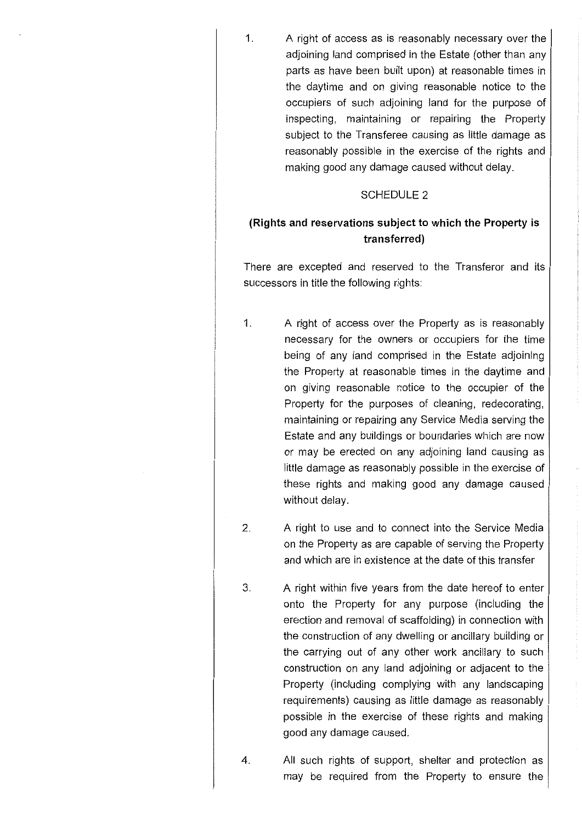1. A right of access as is reasonably necessary over the adjoining land comprised in the Estate (other than any parts as have been built upon) at reasonable times in the daytime and on giving reasonable notice to the occupiers of such adjoining land for the purpose of inspecting, maintaining or repairing the Property subject to the Transferee causing as little damage as reasonably possible in the exercise of the rights and making good any damage caused without delay.

#### SCHEDULE 2

# **(Rights and reservations subject to which the Property is transferred)**

There are excepted and reserved to the Transferor and its successors in title the following rights:

- 1. A right of access over the Property as is reasonably necessary for the owners or occupiers for the time being of any land comprised in the Estate adjoining the Property at reasonable times in the daytime and on giving reasonable notice to the occupier of the Property for the purposes of cleaning, redecorating, maintaining or repairing any Service Media serving the Estate and any buildings or boundaries which are now or may be erected on any adjoining land causing as little damage as reasonably possible in the exercise of these rights and making good any damage caused without delay.
- 2. A right to use and to connect into the Service Media on the Property as are capable of serving the Property and which are in existence at the date of this transfer
- 3. A right within five years from the date hereof to enter onto the Property for any purpose (including the erection and removal of scaffolding) in connection with the construction of any dwelling or ancillary building or the carrying out of any other work ancillary to such construction on any land adjoining or adjacent to the Property (including complying with any landscaping requirements) causing as little damage as reasonably possible in the exercise of these rights and making good any damage caused.
- **4.** All such rights of support, shelter and protection as may be required from the Property to ensure the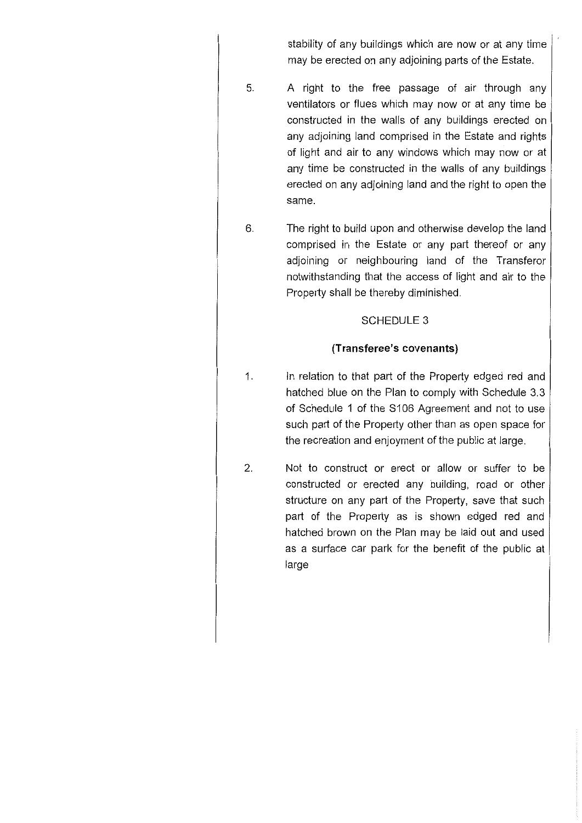stability of any buildings which are now or at any time may be erected on any adjoining parts of the Estate.

- 5. A right to the free passage of air through any ventilators or flues which may now or at any time be constructed in the walls of any buildings erected on any adjoining land comprised in the Estate and rights of light and air to any windows which may now or at any time be constructed in the walls of any buildings erected on any adjoining land and the right to open the same.
- 6. The right to build upon and otherwise develop the land comprised in the Estate or any part thereof or any adjoining or neighbouring land of the Transferor notwithstanding that the access of light and air to the Property shall be thereby diminished.

# SCHEDULE 3

### **(Transferee's covenants)**

- 1. In relation to that part of the Property edged red and hatched blue on the Plan to comply with Schedule 3.3 of Schedule 1 of the S106 Agreement and not to use such part of the Property other than as open space for the recreation and enjoyment of the public at large.
- 2, Not to construct or erect or allow or suffer to be constructed or erected any building, road or other structure on any part of the Property, save that such part of the Property as is shown edged red and hatched brown on the Plan may be laid out and used as a surface car park for the benefit of the public at large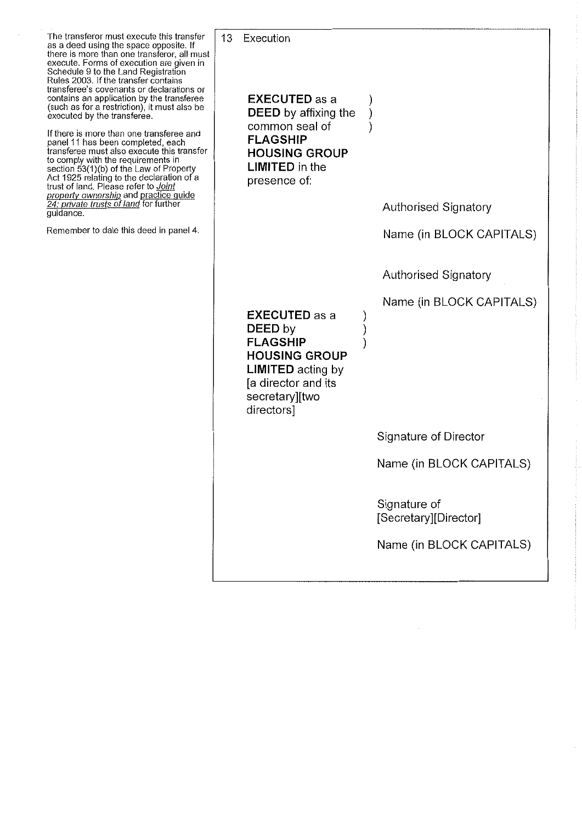The transferor must execute this transfer as a deed using the space opposite. If there is more than one transferor, all must execute. Forms of execution are given in Schedule 9 to the Land Registration Rules 2003. If the transfer contains transferee's covenants or declarations or contains an application by the transferee (such as for a restriction), it must also be executed by the transferee.

If there is more than one transferee and panel 11 has been completed, each transferee must also execute this transfer to comply with the requirements in section 53(1)(b) of the Law of Property Act 1925 relating to the declaration of a trust of land. Please refer to *Joint property ownership* and practice guide 24: *private trusts of land* for further guidance.

Remember to date this deed in panel 4.

13 Execution **EXECUTED as a DEED** by affixing the common seal of **FLAGSHIP HOUSING GROUP LIMITED** in the presence of: **EXECUTED as a DEED by FLAGSHIP HOUSING GROUP LIMITED** acting by [a director and its secretary][two directors] ) ) ) ) ) ) Authorised Signatory Name (in BLOCK CAPITALS) Authorised Signatory Name (in BLOCK CAPITALS) Signature of Director Name (in BLOCK CAPITALS) Signature of [Secretary][Director] Name (in BLOCK CAPITALS)